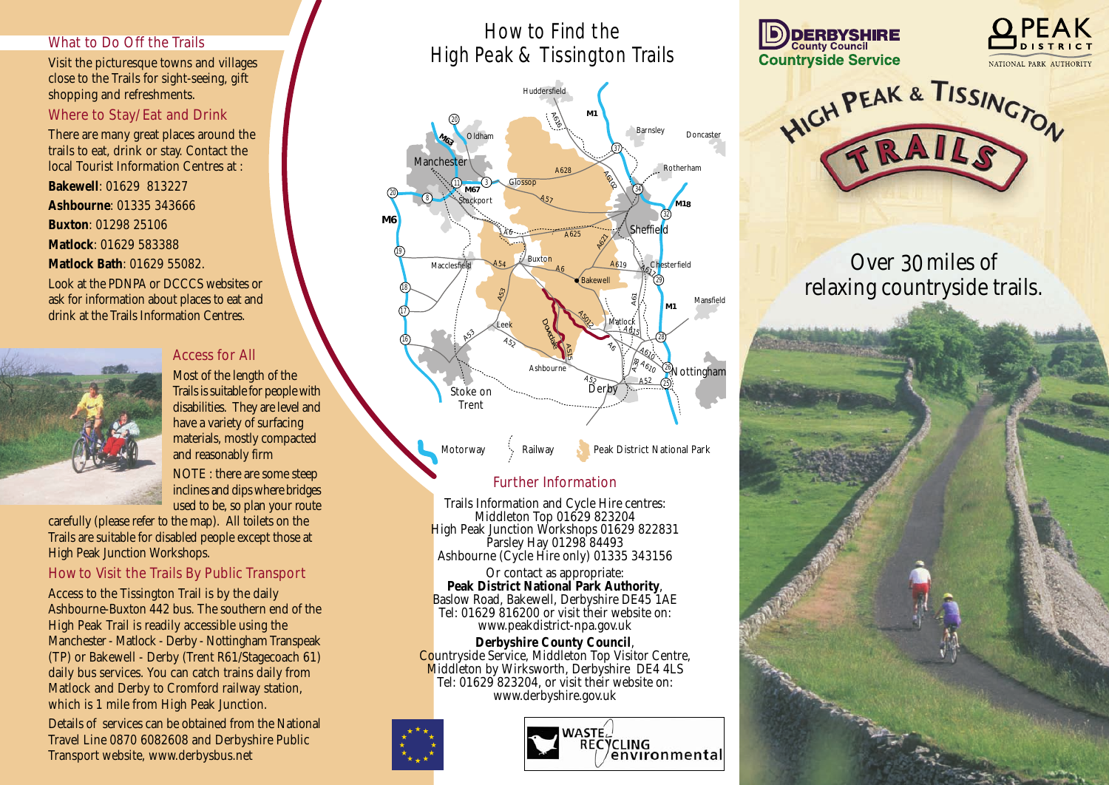#### **What to Do Off the Trails**

Visit the picturesque towns and villages close to the Trails for sight-seeing, gift shopping and refreshments.

#### **Where to Stay/Eat and Drink**

There are many great places around the trails to eat, drink or stay. Contact the local Tourist Information Centres at :

**Bakewell**: 01629 813227

**Ashbourne**: 01335 343666

**Buxton**: 01298 25106

**Matlock**: 01629 583388

**Matlock Bath**: 01629 55082.

Look at the PDNPA or DCCCS websites or ask for information about places to eat and drink at the Trails Information Centres.



#### **Access for All**

Most of the length of the Trails is suitable for people with disabilities. They are level and have a variety of surfacing materials, mostly compacted and reasonably firm

NOTE : there are some steep inclines and dips where bridges used to be, so plan your route

carefully (please refer to the map). All toilets on the Trails are suitable for disabled people except those at High Peak Junction Workshops.

### **How to Visit the Trails By Public Transport**

Access to the Tissington Trail is by the daily Ashbourne-Buxton 442 bus. The southern end of the High Peak Trail is readily accessible using the Manchester - Matlock - Derby - Nottingham Transpeak (TP) or Bakewell - Derby (Trent R61/Stagecoach 61) daily bus services. You can catch trains daily from Matlock and Derby to Cromford railway station, which is 1 mile from High Peak Junction.

Details of services can be obtained from the National Travel Line 0870 6082608 and Derbyshire Public Transport website, www.derbysbus.net

## How to Find the High Peak & Tissington Trails



#### **Further Information**

Trails Information and Cycle Hire centres: Middleton Top 01629 823204 High Peak Junction Workshops 01629 822831 Parsley Hay 01298 84493 Ashbourne (Cycle Hire only) 01335 343156

Or contact as appropriate: **Peak District National Park Authority**, Baslow Road, Bakewell, Derbyshire DE45 1AE Tel: 01629 816200 or visit their website on: www.peakdistrict-npa.gov.uk

**Derbyshire County Council**, Countryside Service, Middleton Top Visitor Centre, Middleton by Wirksworth, Derbyshire DE4 4LS Tel: 01629 823204, or visit their website on: www.derbyshire.gov.uk











# Over 30miles of relaxing countryside trails.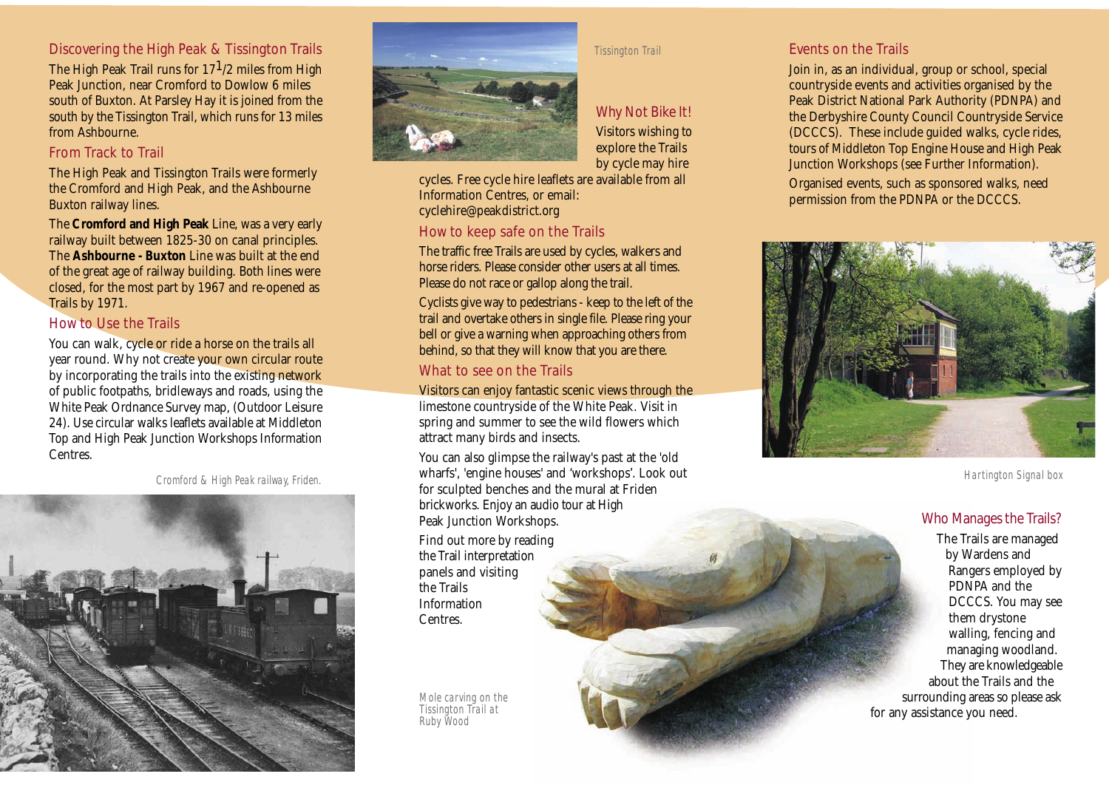### **Discovering the High Peak & Tissington Trails**

The High Peak Trail runs for  $17^{1/2}$  miles from High Peak Junction, near Cromford to Dowlow 6 miles south of Buxton. At Parsley Hay it is joined from the south by the Tissington Trail, which runs for 13 miles from Ashbourne.

#### **From Track to Trail**

The High Peak and Tissington Trails were formerly the Cromford and High Peak, and the Ashbourne Buxton railway lines.

The **Cromford and High Peak** Line, was a very early railway built between 1825-30 on canal principles. The **Ashbourne - Buxton** Line was built at the end of the great age of railway building. Both lines were closed, for the most part by 1967 and re-opened as Trails by 1971.

#### **How to Use the Trails**

You can walk, cycle or ride a horse on the trails all year round. Why not create your own circular route by incorporating the trails into the existing network of public footpaths, bridleways and roads, using the White Peak Ordnance Survey map, (Outdoor Leisure 24). Use circular walks leaflets available at Middleton Top and High Peak Junction Workshops Information Centres.

*Cromford & High Peak railway, Friden.*





#### *Tissington Trail*

**Why Not Bike It!** Visitors wishing to explore the Trails by cycle may hire

cycles. Free cycle hire leaflets are available from all Information Centres, or email: cyclehire@peakdistrict.org

#### **How to keep safe on the Trails**

The traffic free Trails are used by cycles, walkers and horse riders. Please consider other users at all times. Please do not race or gallop along the trail.

Cyclists give way to pedestrians - keep to the left of the trail and overtake others in single file. Please ring your bell or give a warning when approaching others from behind, so that they will know that you are there.

#### **What to see on the Trails**

Visitors can enjoy fantastic scenic views through the limestone countryside of the White Peak. Visit in spring and summer to see the wild flowers which attract many birds and insects.

You can also glimpse the railway's past at the 'old wharfs', 'engine houses' and 'workshops'. Look out for sculpted benches and the mural at Friden brickworks. Enjoy an audio tour at High Peak Junction Workshops.

Find out more by reading the Trail interpretation panels and visiting the Trails Information Centres.

*Mole carving on the Tissington Trail at Ruby Wood*

#### **Events on the Trails**

Join in, as an individual, group or school, special countryside events and activities organised by the Peak District National Park Authority (PDNPA) and the Derbyshire County Council Countryside Service (DCCCS). These include guided walks, cycle rides, tours of Middleton Top Engine House and High Peak Junction Workshops (see Further Information).

Organised events, such as sponsored walks, need permission from the PDNPA or the DCCCS.



*Hartington Signal box*

#### **Who Manages the Trails?**

The Trails are managed by Wardens and Rangers employed by PDNPA and the DCCCS. You may see them drystone walling, fencing and managing woodland. They are knowledgeable about the Trails and the surrounding areas so please ask for any assistance you need.